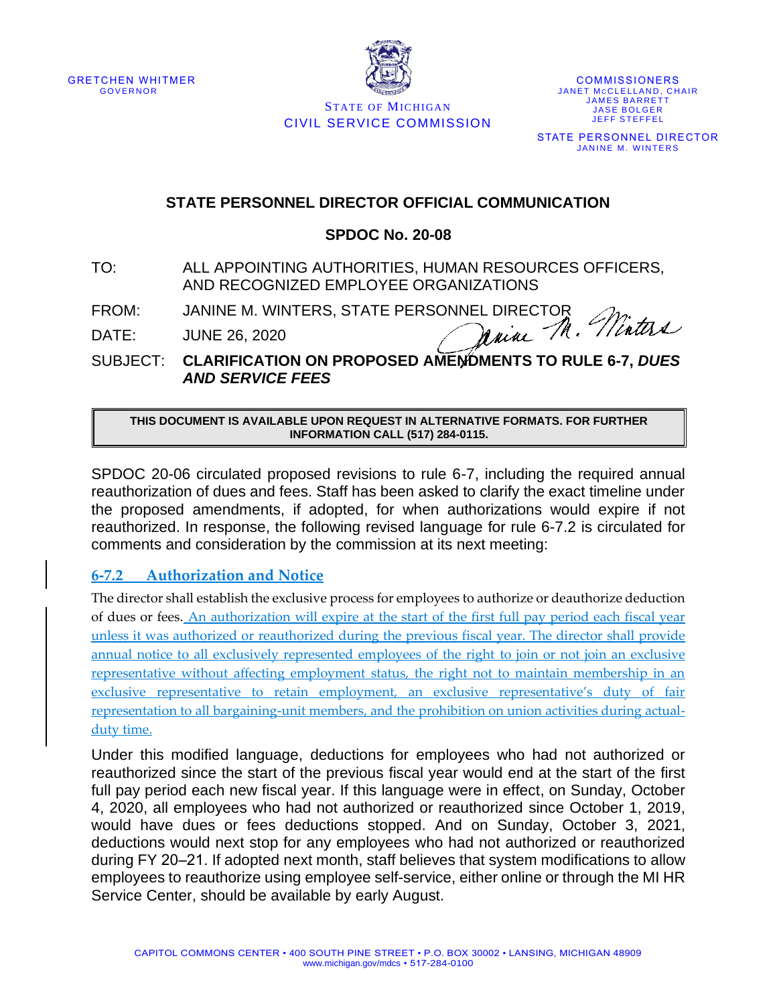



**STATE OF MICHIGAN** CIVIL SERVICE COMMISSION

**COMMISSIONERS** JANET MCCLELLAND, CHAIR **JAMES BARRETT JASE BOLGER JEFF STEFFEL** STATE PERSONNEL DIRECTOR **JANINE M. WINTERS** 

## **STATE PERSONNEL DIRECTOR OFFICIAL COMMUNICATION**

## **SPDOC No. 20-08**

- TO: ALL APPOINTING AUTHORITIES, HUMAN RESOURCES OFFICERS, AND RECOGNIZED EMPLOYEE ORGANIZATIONS
- FROM: JANINE M. WINTERS, STATE PERSONNEL DIRECTOR<br>DATE: JUNE 26, 2020

DATE: JUNE 26, 2020

SUBJECT: **CLARIFICATION ON PROPOSED AMENDMENTS TO RULE 6-7,** *DUES AND SERVICE FEES*

**THIS DOCUMENT IS AVAILABLE UPON REQUEST IN ALTERNATIVE FORMATS. FOR FURTHER INFORMATION CALL (517) 284-0115.**

SPDOC 20-06 circulated proposed revisions to rule 6-7, including the required annual reauthorization of dues and fees. Staff has been asked to clarify the exact timeline under the proposed amendments, if adopted, for when authorizations would expire if not reauthorized. In response, the following revised language for rule 6-7.2 is circulated for comments and consideration by the commission at its next meeting:

## **6-7.2 Authorization and Notice**

The director shall establish the exclusive process for employees to authorize or deauthorize deduction of dues or fees. An authorization will expire at the start of the first full pay period each fiscal year unless it was authorized or reauthorized during the previous fiscal year. The director shall provide annual notice to all exclusively represented employees of the right to join or not join an exclusive representative without affecting employment status, the right not to maintain membership in an exclusive representative to retain employment, an exclusive representative's duty of fair representation to all bargaining-unit members, and the prohibition on union activities during actualduty time.

Under this modified language, deductions for employees who had not authorized or reauthorized since the start of the previous fiscal year would end at the start of the first full pay period each new fiscal year. If this language were in effect, on Sunday, October 4, 2020, all employees who had not authorized or reauthorized since October 1, 2019, would have dues or fees deductions stopped. And on Sunday, October 3, 2021, deductions would next stop for any employees who had not authorized or reauthorized during FY 20–21. If adopted next month, staff believes that system modifications to allow employees to reauthorize using employee self-service, either online or through the MI HR Service Center, should be available by early August.